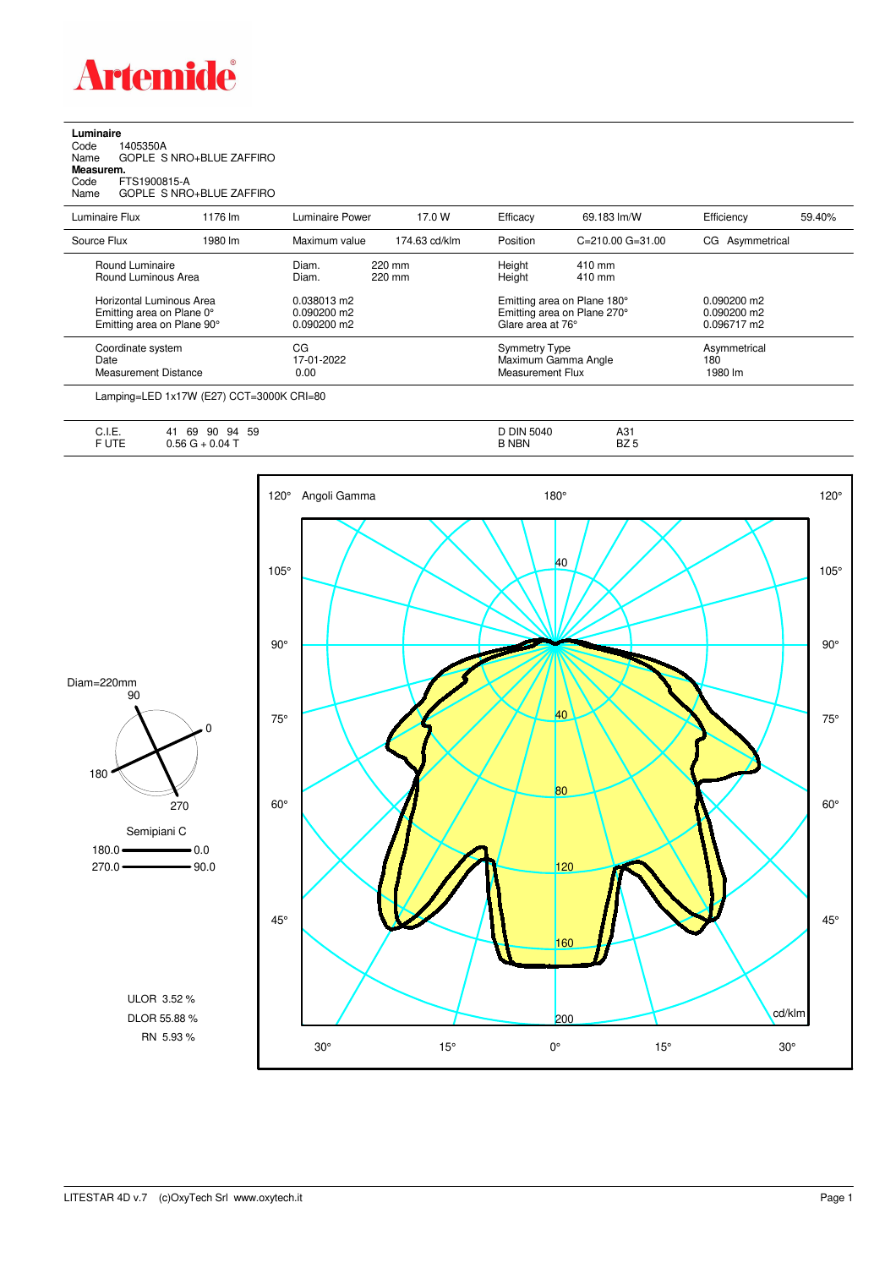

**Luminaire**<br>Code 1<br>Name ( Code 1405350A Name GOPLE S NRO+BLUE ZAFFIRO **Measurem.** Code FTS1900815-A Name GOPLE S NRO+BLUE ZAFFIRO

| Luminaire Flux                                                                      | 1176 lm | Luminaire Power                               | 17.0 W           | Efficacv                                 | 69.183 lm/W                                                | Efficiency                                    | 59.40% |
|-------------------------------------------------------------------------------------|---------|-----------------------------------------------|------------------|------------------------------------------|------------------------------------------------------------|-----------------------------------------------|--------|
| Source Flux                                                                         | 1980 lm | Maximum value                                 | 174.63 cd/klm    | Position                                 | $C = 210.00$ $G = 31.00$                                   | CG Asymmetrical                               |        |
| Round Luminaire<br>Round Luminous Area                                              |         | Diam.<br>Diam.                                | 220 mm<br>220 mm | Height<br>Height                         | 410 mm<br>410 mm                                           |                                               |        |
| Horizontal Luminous Area<br>Emitting area on Plane 0°<br>Emitting area on Plane 90° |         | 0.038013 m2<br>$0.090200$ m2<br>$0.090200$ m2 |                  | Glare area at 76°                        | Emitting area on Plane 180°<br>Emitting area on Plane 270° | $0.090200$ m2<br>$0.090200$ m2<br>0.096717 m2 |        |
| Coordinate system<br>Date<br>Measurement Distance                                   |         | CG<br>17-01-2022<br>0.00                      |                  | <b>Symmetry Type</b><br>Measurement Flux | Maximum Gamma Angle                                        | Asymmetrical<br>180<br>1980 lm                |        |
|                                                                                     |         |                                               |                  |                                          |                                                            |                                               |        |

Lamping=LED 1x17W (E27) CCT=3000K CRI=80

| $\overline{1}$<br>. .<br>∪. I. ⊏. | 59<br>69<br>90<br>94<br><b>4,</b> | אוכ<br>5040 | A31         |
|-----------------------------------|-----------------------------------|-------------|-------------|
| $-1 - -$<br>1 C                   | .04<br>-                          | <b>NBN</b>  | ロフロ<br>DZ J |